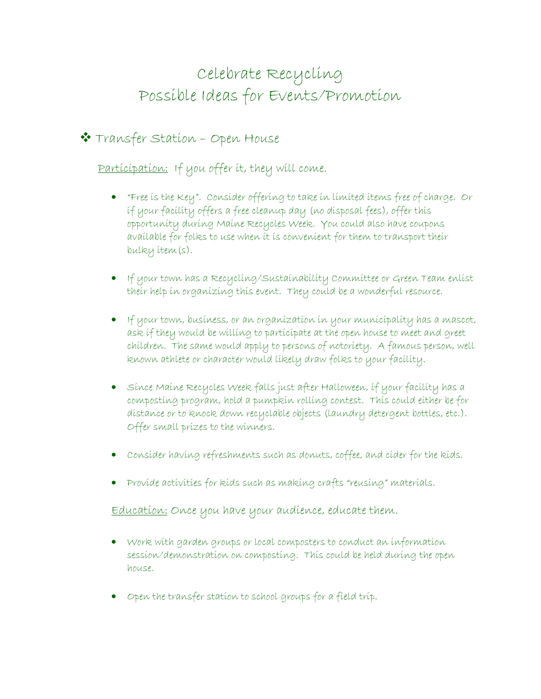# Celebrate Recycling Possible Ideas for Events/Promotion

## Transfer Station – Open House

Participation: If you offer it, they will come.

- "Free is the Key". Consider offering to take in limited items free of charge. Or if your facility offers a free cleanup day (no disposal fees), offer this opportunity during Maine Recycles Week. You could also have coupons available for folks to use when it is convenient for them to transport their bulky item(s).
- If your town has a Recycling/Sustainability Committee or Green Team enlist their help in organizing this event. They could be a wonderful resource.
- If your town, business, or an organization in your municipality has a mascot, ask if they would be willing to participate at the open house to meet and greet children. The same would apply to persons of notoriety. A famous person, well known athlete or character would likely draw folks to your facility.
- Since Maine Recycles Week falls just after Halloween, if your facility has a composting program, hold a pumpkin rolling contest. This could either be for distance or to knock down recyclable objects (laundry detergent bottles, etc.). Offer small prizes to the winners.
- Consider having refreshments such as donuts, coffee, and cider for the kids.
- Provide activities for kids such as making crafts "reusing" materials.

Education: Once you have your audience, educate them.

- Work with garden groups or local composters to conduct an information session/demonstration on composting. This could be held during the open house.
- Open the transfer station to school groups for a field trip.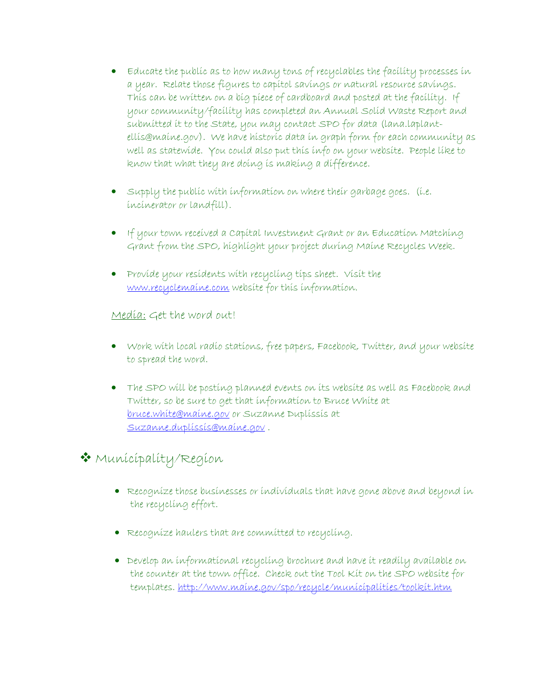- Educate the public as to how many tons of recyclables the facility processes in a year. Relate those figures to capitol savings or natural resource savings. This can be written on a big piece of cardboard and posted at the facility. If your community/facility has completed an Annual Solid Waste Report and submitted it to the State, you may contact SPO for data (lana.laplantellis@maine.gov). We have historic data in graph form for each community as well as statewide. You could also put this info on your website. People like to know that what they are doing is making a difference.
- Supply the public with information on where their garbage goes. (i.e. incinerator or landfill).
- If your town received a Capital Investment Grant or an Education Matching Grant from the SPO, highlight your project during Maine Recycles Week.
- Provide your residents with recycling tips sheet. Visit the www.recyclemaine.com website for this information.

Media: Get the word out!

- Work with local radio stations, free papers, Facebook, Twitter, and your website to spread the word.
- The SPO will be posting planned events on its website as well as Facebook and Twitter, so be sure to get that information to Bruce White at bruce.white@maine.gov or Suzanne Duplissis at Suzanne.duplissis@maine.gov .

### Municipality/Region

- Recognize those businesses or individuals that have gone above and beyond in the recycling effort.
- Recognize haulers that are committed to recycling.
- Develop an informational recycling brochure and have it readily available on the counter at the town office. Check out the Tool Kit on the SPO website for templates. http://www.maine.gov/spo/recycle/municipalities/toolkit.htm